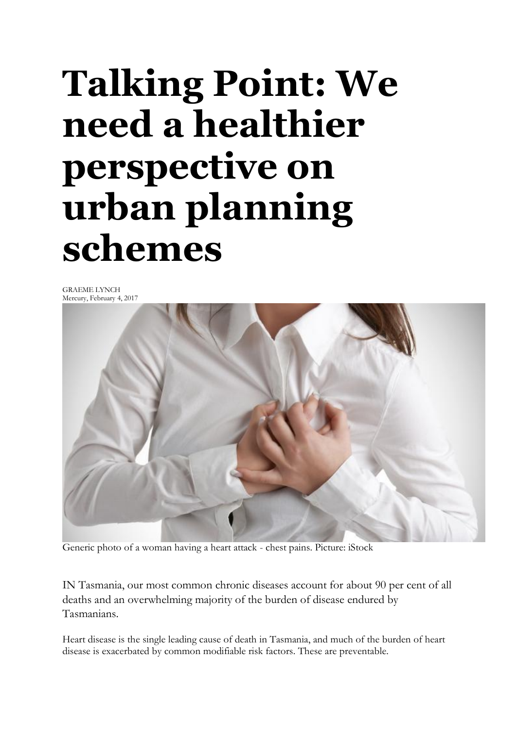## **Talking Point: We need a healthier perspective on urban planning schemes**

GRAEME LYNCH Mercury, February 4, 2017



Generic photo of a woman having a heart attack - chest pains. Picture: iStock

IN Tasmania, our most common chronic diseases account for about 90 per cent of all deaths and an overwhelming majority of the burden of disease endured by Tasmanians.

Heart disease is the single leading cause of death in Tasmania, and much of the burden of heart disease is exacerbated by common modifiable risk factors. These are preventable.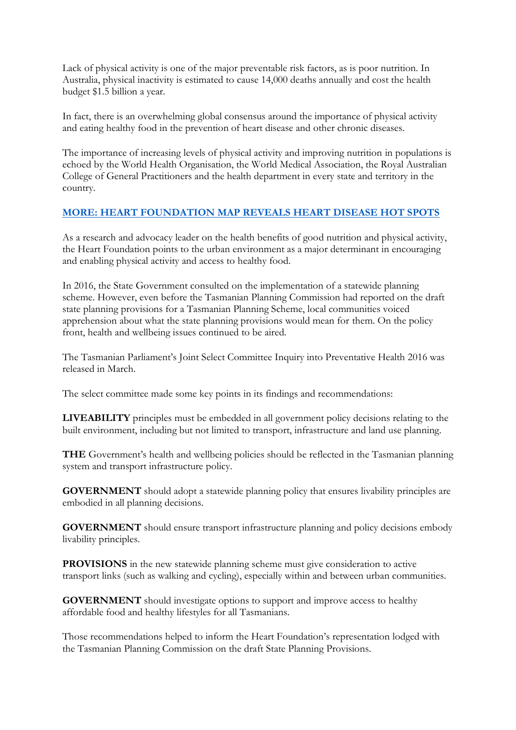Lack of physical activity is one of the major preventable risk factors, as is poor nutrition. In Australia, physical inactivity is estimated to cause 14,000 deaths annually and cost the health budget \$1.5 billion a year.

In fact, there is an overwhelming global consensus around the importance of physical activity and eating healthy food in the prevention of heart disease and other chronic diseases.

The importance of increasing levels of physical activity and improving nutrition in populations is echoed by the World Health Organisation, the World Medical Association, the Royal Australian College of General Practitioners and the health department in every state and territory in the country.

## **[MORE: HEART FOUNDATION MAP REVEALS HEART DISEASE HOT SPOTS](http://www.themercury.com.au/lifestyle/heart-foundation-map-reveals-tasmanian-heart-disease-hot-spots/news-story/ab58ffa38122374a1bc17e6c117650cf)**

As a research and advocacy leader on the health benefits of good nutrition and physical activity, the Heart Foundation points to the urban environment as a major determinant in encouraging and enabling physical activity and access to healthy food.

In 2016, the State Government consulted on the implementation of a statewide planning scheme. However, even before the Tasmanian Planning Commission had reported on the draft state planning provisions for a Tasmanian Planning Scheme, local communities voiced apprehension about what the state planning provisions would mean for them. On the policy front, health and wellbeing issues continued to be aired.

The Tasmanian Parliament's Joint Select Committee Inquiry into Preventative Health 2016 was released in March.

The select committee made some key points in its findings and recommendations:

**LIVEABILITY** principles must be embedded in all government policy decisions relating to the built environment, including but not limited to transport, infrastructure and land use planning.

**THE** Government's health and wellbeing policies should be reflected in the Tasmanian planning system and transport infrastructure policy.

**GOVERNMENT** should adopt a statewide planning policy that ensures livability principles are embodied in all planning decisions.

**GOVERNMENT** should ensure transport infrastructure planning and policy decisions embody livability principles.

**PROVISIONS** in the new statewide planning scheme must give consideration to active transport links (such as walking and cycling), especially within and between urban communities.

**GOVERNMENT** should investigate options to support and improve access to healthy affordable food and healthy lifestyles for all Tasmanians.

Those recommendations helped to inform the Heart Foundation's representation lodged with the Tasmanian Planning Commission on the draft State Planning Provisions.